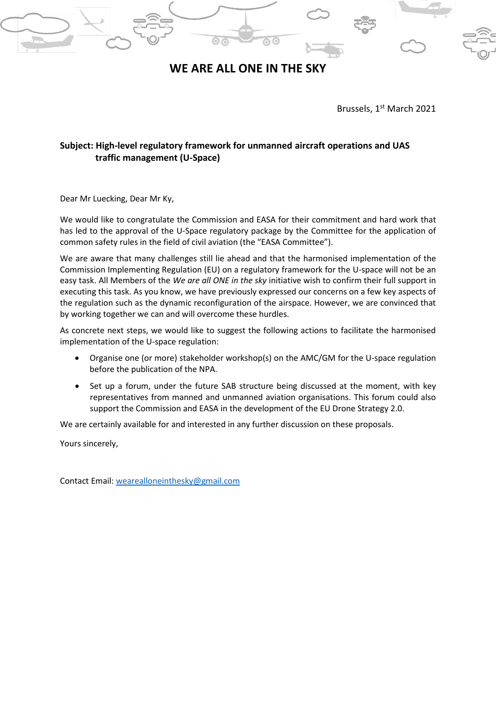

Brussels, 1st March 2021

## **Subject: High-level regulatory framework for unmanned aircraft operations and UAS traffic management (U-Space)**

Dear Mr Luecking, Dear Mr Ky,

We would like to congratulate the Commission and EASA for their commitment and hard work that has led to the approval of the U-Space regulatory package by the Committee for the application of common safety rules in the field of civil aviation (the "EASA Committee").

We are aware that many challenges still lie ahead and that the harmonised implementation of the Commission Implementing Regulation (EU) on a regulatory framework for the U-space will not be an easy task. All Members of the *We are all ONE in the sky* initiative wish to confirm their full support in executing this task. As you know, we have previously expressed our concerns on a few key aspects of the regulation such as the dynamic reconfiguration of the airspace. However, we are convinced that by working together we can and will overcome these hurdles.

As concrete next steps, we would like to suggest the following actions to facilitate the harmonised implementation of the U-space regulation:

- Organise one (or more) stakeholder workshop(s) on the AMC/GM for the U-space regulation before the publication of the NPA.
- Set up a forum, under the future SAB structure being discussed at the moment, with key representatives from manned and unmanned aviation organisations. This forum could also support the Commission and EASA in the development of the EU Drone Strategy 2.0.

We are certainly available for and interested in any further discussion on these proposals.

Yours sincerely,

Contact Email: [wearealloneinthesky@gmail.com](mailto:wearealloneinthesky@gmail.com)